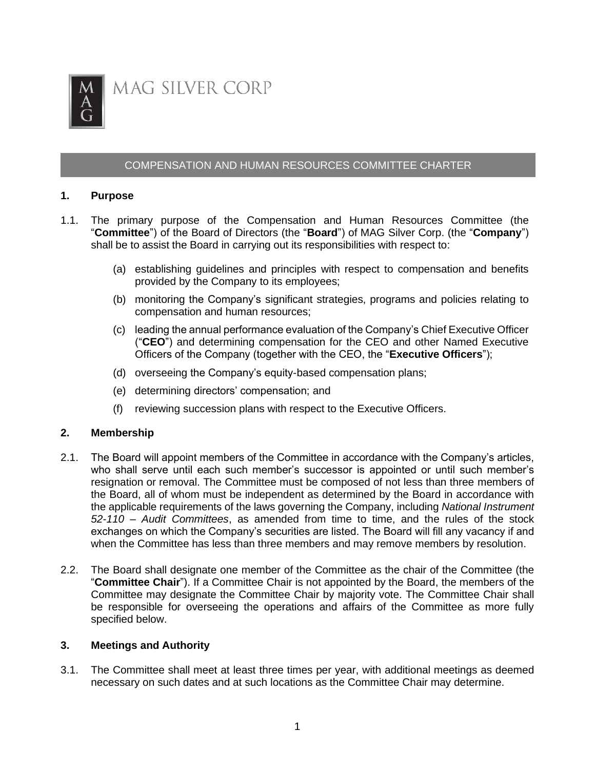

# COMPENSATION AND HUMAN RESOURCES COMMITTEE CHARTER

### **1. Purpose**

- 1.1. The primary purpose of the Compensation and Human Resources Committee (the "**Committee**") of the Board of Directors (the "**Board**") of MAG Silver Corp. (the "**Company**") shall be to assist the Board in carrying out its responsibilities with respect to:
	- (a) establishing guidelines and principles with respect to compensation and benefits provided by the Company to its employees;
	- (b) monitoring the Company's significant strategies, programs and policies relating to compensation and human resources;
	- (c) leading the annual performance evaluation of the Company's Chief Executive Officer ("**CEO**") and determining compensation for the CEO and other Named Executive Officers of the Company (together with the CEO, the "**Executive Officers**");
	- (d) overseeing the Company's equity-based compensation plans;
	- (e) determining directors' compensation; and
	- (f) reviewing succession plans with respect to the Executive Officers.

## **2. Membership**

- 2.1. The Board will appoint members of the Committee in accordance with the Company's articles, who shall serve until each such member's successor is appointed or until such member's resignation or removal. The Committee must be composed of not less than three members of the Board, all of whom must be independent as determined by the Board in accordance with the applicable requirements of the laws governing the Company, including *National Instrument 52-110 – Audit Committees*, as amended from time to time, and the rules of the stock exchanges on which the Company's securities are listed. The Board will fill any vacancy if and when the Committee has less than three members and may remove members by resolution.
- 2.2. The Board shall designate one member of the Committee as the chair of the Committee (the "**Committee Chair**"). If a Committee Chair is not appointed by the Board, the members of the Committee may designate the Committee Chair by majority vote. The Committee Chair shall be responsible for overseeing the operations and affairs of the Committee as more fully specified below.

#### **3. Meetings and Authority**

3.1. The Committee shall meet at least three times per year, with additional meetings as deemed necessary on such dates and at such locations as the Committee Chair may determine.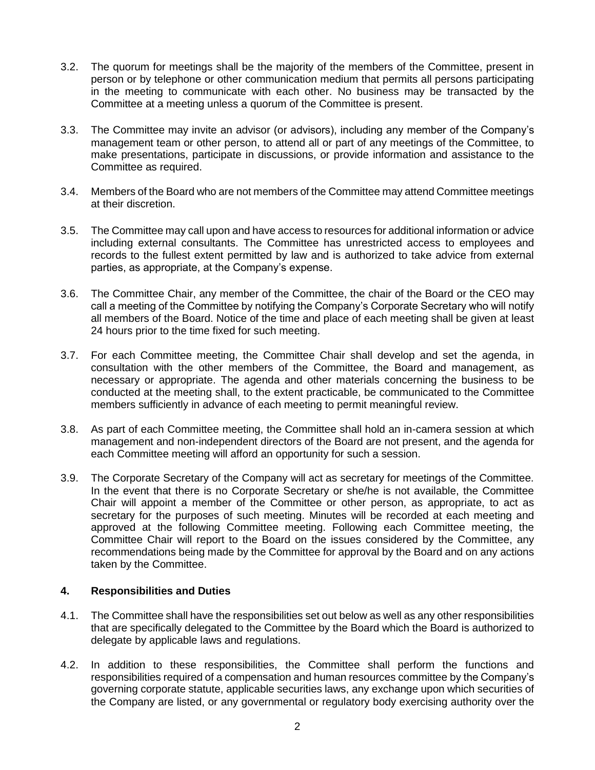- 3.2. The quorum for meetings shall be the majority of the members of the Committee, present in person or by telephone or other communication medium that permits all persons participating in the meeting to communicate with each other. No business may be transacted by the Committee at a meeting unless a quorum of the Committee is present.
- 3.3. The Committee may invite an advisor (or advisors), including any member of the Company's management team or other person, to attend all or part of any meetings of the Committee, to make presentations, participate in discussions, or provide information and assistance to the Committee as required.
- 3.4. Members of the Board who are not members of the Committee may attend Committee meetings at their discretion.
- 3.5. The Committee may call upon and have access to resources for additional information or advice including external consultants. The Committee has unrestricted access to employees and records to the fullest extent permitted by law and is authorized to take advice from external parties, as appropriate, at the Company's expense.
- 3.6. The Committee Chair, any member of the Committee, the chair of the Board or the CEO may call a meeting of the Committee by notifying the Company's Corporate Secretary who will notify all members of the Board. Notice of the time and place of each meeting shall be given at least 24 hours prior to the time fixed for such meeting.
- 3.7. For each Committee meeting, the Committee Chair shall develop and set the agenda, in consultation with the other members of the Committee, the Board and management, as necessary or appropriate. The agenda and other materials concerning the business to be conducted at the meeting shall, to the extent practicable, be communicated to the Committee members sufficiently in advance of each meeting to permit meaningful review.
- 3.8. As part of each Committee meeting, the Committee shall hold an in-camera session at which management and non-independent directors of the Board are not present, and the agenda for each Committee meeting will afford an opportunity for such a session.
- 3.9. The Corporate Secretary of the Company will act as secretary for meetings of the Committee. In the event that there is no Corporate Secretary or she/he is not available, the Committee Chair will appoint a member of the Committee or other person, as appropriate, to act as secretary for the purposes of such meeting. Minutes will be recorded at each meeting and approved at the following Committee meeting. Following each Committee meeting, the Committee Chair will report to the Board on the issues considered by the Committee, any recommendations being made by the Committee for approval by the Board and on any actions taken by the Committee.

## **4. Responsibilities and Duties**

- 4.1. The Committee shall have the responsibilities set out below as well as any other responsibilities that are specifically delegated to the Committee by the Board which the Board is authorized to delegate by applicable laws and regulations.
- 4.2. In addition to these responsibilities, the Committee shall perform the functions and responsibilities required of a compensation and human resources committee by the Company's governing corporate statute, applicable securities laws, any exchange upon which securities of the Company are listed, or any governmental or regulatory body exercising authority over the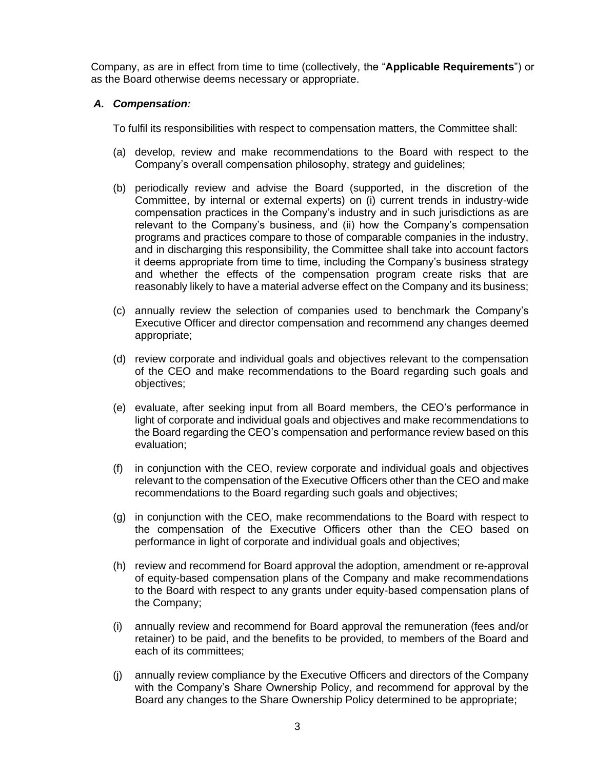Company, as are in effect from time to time (collectively, the "**Applicable Requirements**") or as the Board otherwise deems necessary or appropriate.

## *A. Compensation:*

To fulfil its responsibilities with respect to compensation matters, the Committee shall:

- (a) develop, review and make recommendations to the Board with respect to the Company's overall compensation philosophy, strategy and guidelines;
- (b) periodically review and advise the Board (supported, in the discretion of the Committee, by internal or external experts) on (i) current trends in industry-wide compensation practices in the Company's industry and in such jurisdictions as are relevant to the Company's business, and (ii) how the Company's compensation programs and practices compare to those of comparable companies in the industry, and in discharging this responsibility, the Committee shall take into account factors it deems appropriate from time to time, including the Company's business strategy and whether the effects of the compensation program create risks that are reasonably likely to have a material adverse effect on the Company and its business;
- (c) annually review the selection of companies used to benchmark the Company's Executive Officer and director compensation and recommend any changes deemed appropriate;
- (d) review corporate and individual goals and objectives relevant to the compensation of the CEO and make recommendations to the Board regarding such goals and objectives;
- (e) evaluate, after seeking input from all Board members, the CEO's performance in light of corporate and individual goals and objectives and make recommendations to the Board regarding the CEO's compensation and performance review based on this evaluation;
- (f) in conjunction with the CEO, review corporate and individual goals and objectives relevant to the compensation of the Executive Officers other than the CEO and make recommendations to the Board regarding such goals and objectives;
- (g) in conjunction with the CEO, make recommendations to the Board with respect to the compensation of the Executive Officers other than the CEO based on performance in light of corporate and individual goals and objectives;
- (h) review and recommend for Board approval the adoption, amendment or re-approval of equity-based compensation plans of the Company and make recommendations to the Board with respect to any grants under equity-based compensation plans of the Company;
- (i) annually review and recommend for Board approval the remuneration (fees and/or retainer) to be paid, and the benefits to be provided, to members of the Board and each of its committees;
- (j) annually review compliance by the Executive Officers and directors of the Company with the Company's Share Ownership Policy, and recommend for approval by the Board any changes to the Share Ownership Policy determined to be appropriate;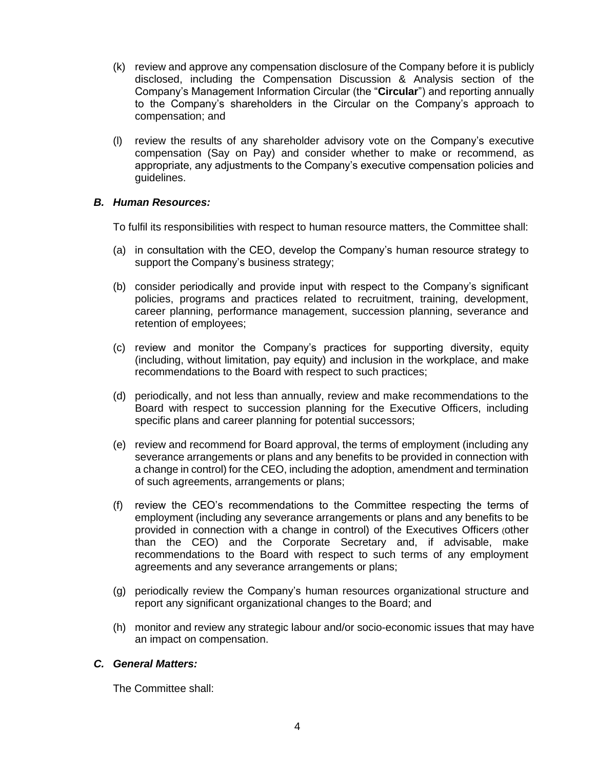- (k) review and approve any compensation disclosure of the Company before it is publicly disclosed, including the Compensation Discussion & Analysis section of the Company's Management Information Circular (the "**Circular**") and reporting annually to the Company's shareholders in the Circular on the Company's approach to compensation; and
- (l) review the results of any shareholder advisory vote on the Company's executive compensation (Say on Pay) and consider whether to make or recommend, as appropriate, any adjustments to the Company's executive compensation policies and guidelines.

### *B. Human Resources:*

To fulfil its responsibilities with respect to human resource matters, the Committee shall:

- (a) in consultation with the CEO, develop the Company's human resource strategy to support the Company's business strategy;
- (b) consider periodically and provide input with respect to the Company's significant policies, programs and practices related to recruitment, training, development, career planning, performance management, succession planning, severance and retention of employees;
- (c) review and monitor the Company's practices for supporting diversity, equity (including, without limitation, pay equity) and inclusion in the workplace, and make recommendations to the Board with respect to such practices;
- (d) periodically, and not less than annually, review and make recommendations to the Board with respect to succession planning for the Executive Officers, including specific plans and career planning for potential successors;
- (e) review and recommend for Board approval, the terms of employment (including any severance arrangements or plans and any benefits to be provided in connection with a change in control) for the CEO, including the adoption, amendment and termination of such agreements, arrangements or plans;
- (f) review the CEO's recommendations to the Committee respecting the terms of employment (including any severance arrangements or plans and any benefits to be provided in connection with a change in control) of the Executives Officers (other than the CEO) and the Corporate Secretary and, if advisable, make recommendations to the Board with respect to such terms of any employment agreements and any severance arrangements or plans;
- (g) periodically review the Company's human resources organizational structure and report any significant organizational changes to the Board; and
- (h) monitor and review any strategic labour and/or socio-economic issues that may have an impact on compensation.

#### *C. General Matters:*

The Committee shall: